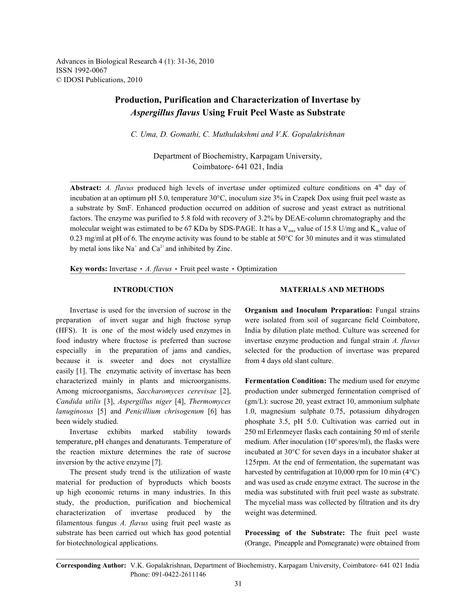Advances in Biological Research 4 (1): 31-36, 2010 ISSN 1992-0067 © IDOSI Publications, 2010

# **Production, Purification and Characterization of Invertase by** *Aspergillus flavus* **Using Fruit Peel Waste as Substrate**

*C. Uma, D. Gomathi, C. Muthulakshmi and V.K. Gopalakrishnan*

Department of Biochemistry, Karpagam University, Coimbatore- 641 021, India

**Abstract:** *A. flavus* produced high levels of invertase under optimized culture conditions on  $4<sup>th</sup>$  day of incubation at an optimum pH 5.0, temperature 30°C, inoculum size 3% in Czapek Dox using fruit peel waste as a substrate by SmF. Enhanced production occurred on addition of sucrose and yeast extract as nutritional factors. The enzyme was purified to 5.8 fold with recovery of 3.2% by DEAE-column chromatography and the molecular weight was estimated to be 67 KDa by SDS-PAGE. It has a V<sub>max</sub> value of 15.8 U/mg and K<sub>m</sub> value of 0.23 mg/ml at pH of 6. The enzyme activity was found to be stable at 50°C for 30 minutes and it was stimulated by metal ions like  $Na^+$  and  $Ca^{2+}$  and inhibited by Zinc.

**Key words:** Invertase • A. flavus • Fruit peel waste • Optimization

preparation of invert sugar and high fructose syrup were isolated from soil of sugarcane field Coimbatore, (HFS). It is one of the most widely used enzymes in India by dilution plate method. Culture was screened for food industry where fructose is preferred than sucrose invertase enzyme production and fungal strain *A. flavus* especially in the preparation of jams and candies, selected for the production of invertase was prepared because it is sweeter and does not crystallize from 4 days old slant culture. easily [1]. The enzymatic activity of invertase has been characterized mainly in plants and microorganisms. **Fermentation Condition:** The medium used for enzyme *Candida utilis* [3], *Aspergillus niger* [4], *Thermomyces* (gm/L): sucrose 20, yeast extract 10, ammonium sulphate *lanuginosus* [5] and *Penicillium chrisogenum* [6] has 1.0, magnesium sulphate 0.75, potassium dihydrogen been widely studied. been widely studied. phosphate 3.5, pH 5.0. Cultivation was carried out in

temperature, pH changes and denaturants. Temperature of the reaction mixture determines the rate of sucrose incubated at 30°C for seven days in a incubator shaker at inversion by the active enzyme [7]. 125rpm. At the end of fermentation, the supernatant was

material for production of byproducts which boosts and was used as crude enzyme extract. The sucrose in the up high economic returns in many industries. In this media was substituted with fruit peel waste as substrate. study, the production, purification and biochemical The mycelial mass was collected by filtration and its dry characterization of invertase produced by the weight was determined. filamentous fungus *A. flavus* using fruit peel waste as substrate has been carried out which has good potential **Processing of the Substrate:** The fruit peel waste for biotechnological applications. (Orange, Pineapple and Pomegranate) were obtained from

### **INTRODUCTION MATERIALS AND METHODS**

Invertase is used for the inversion of sucrose in the **Organism and Inoculum Preparation:** Fungal strains

Among microorganisms, *Saccharomyces cerevisae* [2], production under submerged fermentation comprised of Invertase exhibits marked stability towards 250 ml Erlenmeyer flasks each containing 50 ml of sterile The present study trend is the utilization of waste harvested by centrifugation at  $10,000$  rpm for  $10 \text{ min } (4^{\circ}C)$ medium. After inoculation  $(10^6 \text{ spores/ml})$ , the flasks were

**Corresponding Author:** V.K. Gopalakrishnan, Department of Biochemistry, Karpagam University, Coimbatore- 641 021 India Phone: 091-0422-2611146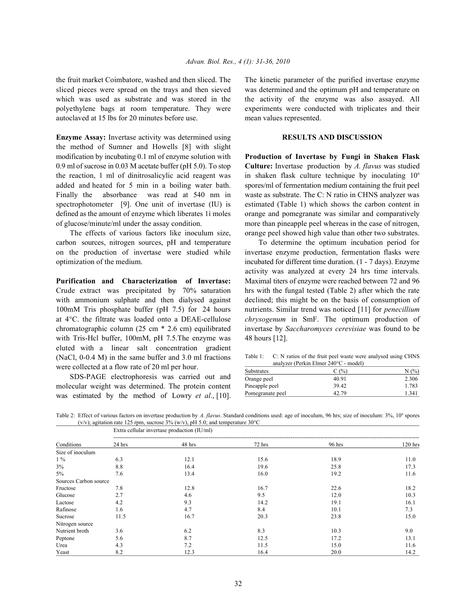sliced pieces were spread on the trays and then sieved was determined and the optimum pH and temperature on which was used as substrate and was stored in the the activity of the enzyme was also assayed. All polyethylene bags at room temperature. They were experiments were conducted with triplicates and their autoclaved at 15 lbs for 20 minutes before use. mean values represented.

**Enzyme Assay:** Invertase activity was determined using **RESULTS AND DISCUSSION** the method of Sumner and Howells [8] with slight modification by incubating 0.1 ml of enzyme solution with **Production of Invertase by Fungi in Shaken Flask** 0.9 ml of sucrose in 0.03 M acetate buffer (pH 5.0). To stop **Culture:** Invertase production by *A. flavus* was studied the reaction, 1 ml of dinitrosalicylic acid reagent was added and heated for 5 min in a boiling water bath. spores/ml of fermentation medium containing the fruit peel Finally the absorbance was read at 540 nm in waste as substrate. The C: N ratio in CHNS analyzer was spectrophotometer [9]. One unit of invertase (IU) is estimated (Table 1) which shows the carbon content in defined as the amount of enzyme which liberates 1ì moles orange and pomegranate was similar and comparatively of glucose/minute/ml under the assay condition. more than pineapple peel whereas in the case of nitrogen,

carbon sources, nitrogen sources, pH and temperature To determine the optimum incubation period for on the production of invertase were studied while invertase enzyme production, fermentation flasks were optimization of the medium. incubated for different time duration. (1 - 7 days). Enzyme

Crude extract was precipitated by 70% saturation hrs with the fungal tested (Table 2) after which the rate with ammonium sulphate and then dialysed against declined; this might be on the basis of consumption of 100mM Tris phosphate buffer (pH 7.5) for 24 hours nutrients. Similar trend was noticed [11] for *penecillium* chromatographic column (25 cm \* 2.6 cm) equilibrated invertase by *Saccharomyces cerevisiae* was found to be with Tris-Hel buffer, 100mM, pH 7.5. The enzyme was 48 hours [12]. eluted with a linear salt concentration gradient (NaCl, 0-0.4 M) in the same buffer and 3.0 ml fractions were collected at a flow rate of 20 ml per hour.

SDS-PAGE electrophoresis was carried out and molecular weight was determined. The protein content was estimated by the method of Lowry *et al*., [10].

the fruit market Coimbatore, washed and then sliced. The The kinetic parameter of the purified invertase enzyme

The effects of various factors like inoculum size, orange peel showed high value than other two substrates. in shaken flask culture technique by inoculating  $10<sup>6</sup>$ 

**Purification and Characterization of Invertase:** Maximal titers of enzyme were reached between 72 and 96 at 4°C. the filtrate was loaded onto a DEAE-cellulose *chrysogenum* in SmF. The optimum production of activity was analyzed at every 24 hrs time intervals.

Table 1: C: N ratios of the fruit peel waste were analysed using CHNS analyzer (Perkin Elmer 240°C - model)

| <b>Substrates</b> | C(%)  | N(%)  |  |
|-------------------|-------|-------|--|
| Orange peel       | 40.91 | 2.306 |  |
| Pineapple peel    | 39.42 | 1.783 |  |
| Pomegranate peel  | 42.79 | 1.341 |  |

Table 2: Effect of various factors on invertase production by *A. flavus*. Standard conditions used: age of inoculum, 96 hrs; size of inoculum: 3%, 10<sup>6</sup> spores (v/v); agitation rate 125 rpm, sucrose 3% (w/v), pH 5.0; and temperature 30 $^{\circ}$ C

|                       |          | Extra cellular invertase production (IU/ml) |        |          |         |  |  |
|-----------------------|----------|---------------------------------------------|--------|----------|---------|--|--|
| Conditions            | $24$ hrs | 48 hrs                                      | 72 hrs | $96$ hrs | 120 hrs |  |  |
| Size of inoculum      |          |                                             |        |          |         |  |  |
| $1\%$                 | 6.3      | 12.1                                        | 15.6   | 18.9     | 11.0    |  |  |
| 3%                    | 8.8      | 16.4                                        | 19.6   | 25.8     | 17.3    |  |  |
| $5\%$                 | 7.6      | 13.4                                        | 16.0   | 19.2     | 11.6    |  |  |
| Sources Carbon source |          |                                             |        |          |         |  |  |
| Fructose              | 7.8      | 12.8                                        | 16.7   | 22.6     | 18.2    |  |  |
| Glucose               | 2.7      | 4.6                                         | 9.5    | 12.0     | 10.3    |  |  |
| Lactose               | 4.2      | 9.3                                         | 14.2   | 19.1     | 16.1    |  |  |
| Rafinose              | 1.6      | 4.7                                         | 8.4    | 10.1     | 7.3     |  |  |
| Sucrose               | 11.5     | 16.7                                        | 20.3   | 23.8     | 15.0    |  |  |
| Nitrogen source       |          |                                             |        |          |         |  |  |
| Nutrient broth        | 3.6      | 6.2                                         | 8.3    | 10.3     | 9.0     |  |  |
| Peptone               | 5.6      | 8.7                                         | 12.5   | 17.2     | 13.1    |  |  |
| Urea                  | 4.3      | 7.2                                         | 11.5   | 15.0     | 11.6    |  |  |
| Yeast                 | 8.2      | 12.3                                        | 16.4   | 20.0     | 14.2    |  |  |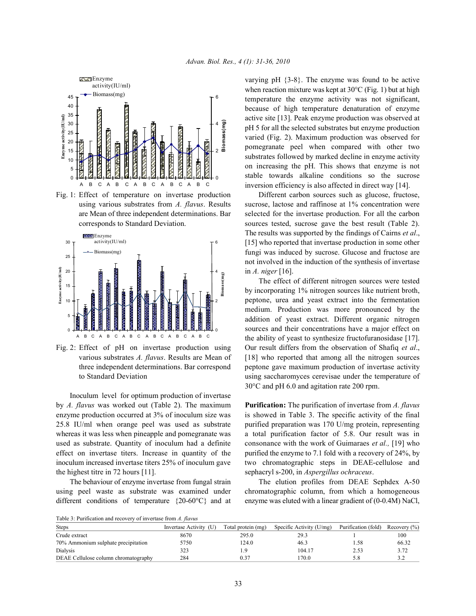



Inoculum level for optimum production of invertase by *A. flavus* was worked out (Table 2). The maximum **Purification:** The purification of invertase from *A. flavus* enzyme production occurred at 3% of inoculum size was is showed in Table 3. The specific activity of the final 25.8 IU/ml when orange peel was used as substrate purified preparation was 170 U/mg protein, representing whereas it was less when pineapple and pomegranate was a total purification factor of 5.8. Our result was in used as substrate. Quantity of inoculum had a definite consonance with the work of Guimaraes *et al.,* [19] who effect on invertase titers. Increase in quantity of the purified the enzyme to 7.1 fold with a recovery of 24%, by inoculum increased invertase titers 25% of inoculum gave two chromatographic steps in DEAE-cellulose and the highest titre in 72 hours [11]. sephacryl s-200, in *Aspergillus ochraceus*.

using peel waste as substrate was examined under chromatographic column, from which a homogeneous different conditions of temperature  ${20-60^{\circ}C}$  and at enzyme was eluted with a linear gradient of (0-0.4M) NaCl,

varying pH {3-8}. The enzyme was found to be active when reaction mixture was kept at 30°C (Fig. 1) but at high temperature the enzyme activity was not significant, because of high temperature denaturation of enzyme active site [13]. Peak enzyme production was observed at pH 5 for all the selected substrates but enzyme production varied (Fig. 2). Maximum production was observed for pomegranate peel when compared with other two substrates followed by marked decline in enzyme activity on increasing the pH. This shows that enzyme is not stable towards alkaline conditions so the sucrose inversion efficiency is also affected in direct way [14].

Fig. 1: Effect of temperature on invertase production Different carbon sources such as glucose, fructose, using various substrates from *A. flavus*. Results sucrose, lactose and raffinose at 1% concentration were are Mean of three independent determinations. Bar selected for the invertase production. For all the carbon corresponds to Standard Deviation. sources tested, sucrose gave the best result (Table 2). The results was supported by the findings of Cairns *et al*., [15] who reported that invertase production in some other fungi was induced by sucrose. Glucose and fructose are not involved in the induction of the synthesis of invertase in *A. niger* [16].

Fig. 2: Effect of pH on invertase production using Our result differs from the observation of Shafiq *et al*., various substrates *A. flavus*. Results are Mean of [18] who reported that among all the nitrogen sources three independent determinations. Bar correspond peptone gave maximum production of invertase activity to Standard Deviation using saccharomyces cerevisae under the temperature of The effect of different nitrogen sources were tested by incorporating 1% nitrogen sources like nutrient broth, peptone, urea and yeast extract into the fermentation medium. Production was more pronounced by the addition of yeast extract. Different organic nitrogen sources and their concentrations have a major effect on the ability of yeast to synthesize fructofuranosidase [17]. 30°C and pH 6.0 and agitation rate 200 rpm.

The behaviour of enzyme invertase from fungal strain The elution profiles from DEAE Sephdex A-50

| Table 3: Purification and recovery of invertase from A. flavus |  |  |
|----------------------------------------------------------------|--|--|
|                                                                |  |  |

| <b>Steps</b>                         | Invertase Activity (U) | Total protein (mg) | Specific Activity (U/mg) | Purification (fold) | Recovery $(\% )$ |
|--------------------------------------|------------------------|--------------------|--------------------------|---------------------|------------------|
| Crude extract                        | 8670                   | 295.0              | 29.3                     |                     | 100              |
| 70% Ammonium sulphate precipitation  | 5750                   | 24.0               | 46.3                     | . 58                | 66.32            |
| Dialysis                             | 323                    |                    | 104.17                   | 2.53                | 3.72             |
| DEAE Cellulose column chromatography | 284                    | 0.37               | 170.0                    | 5.8                 |                  |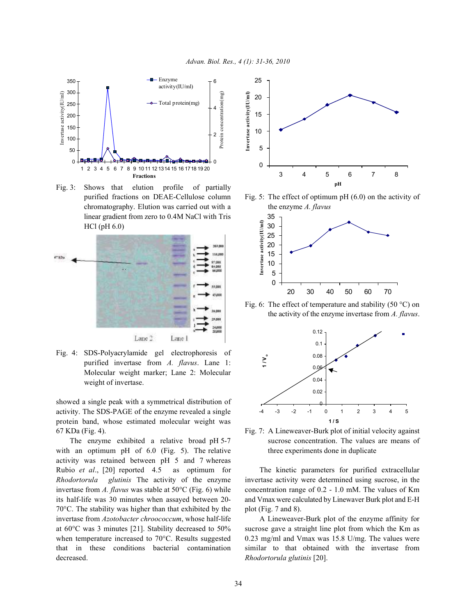

Fig. 3: Shows that elution profile of partially chromatography. Elution was carried out with a the enzyme *A. flavus* linear gradient from zero to 0.4M NaCl with Tris HCl (pH 6.0)



Fig. 4: SDS-Polyacrylamide gel electrophoresis of purified invertase from *A. flavus*. Lane 1: Molecular weight marker; Lane 2: Molecular weight of invertase.

showed a single peak with a symmetrical distribution of activity. The SDS-PAGE of the enzyme revealed a single protein band, whose estimated molecular weight was 67 KDa (Fig. 4). Fig. 7: A Lineweaver-Burk plot of initial velocity against

with an optimum pH of  $6.0$  (Fig. 5). The relative three experiments done in duplicate activity was retained between pH 5 and 7 whereas Rubio *et al*., [20] reported 4.5 as optimum for The kinetic parameters for purified extracellular  $70^{\circ}$ C. The stability was higher than that exhibited by the plot (Fig. 7 and 8). invertase from *Azotobacter chroococcum*, whose half-life A Lineweaver-Burk plot of the enzyme affinity for decreased. *Rhodortorula glutinis* [20].



purified fractions on DEAE-Cellulose column Fig. 5: The effect of optimum pH (6.0) on the activity of



Fig. 6: The effect of temperature and stability (50  $^{\circ}$ C) on the activity of the enzyme invertase from *A. flavus*.



The enzyme exhibited a relative broad pH 5-7 sucrose concentration. The values are means of

*Rhodortorula glutinis* The activity of the enzyme invertase activity were determined using sucrose, in the invertase from *A. flavus* was stable at 50°C (Fig. 6) while concentration range of 0.2 - 1.0 mM. The values of Km its half-life was 30 minutes when assayed between 20- and Vmax were calculated by Linewaver Burk plot and E-H

at 60°C was 3 minutes [21]. Stability decreased to 50% sucrose gave a straight line plot from which the Km as when temperature increased to 70°C. Results suggested 0.23 mg/ml and Vmax was 15.8 U/mg. The values were that in these conditions bacterial contamination similar to that obtained with the invertase from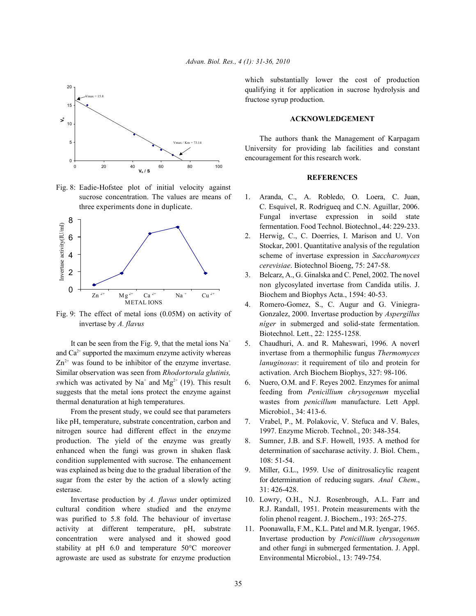

Fig. 8: Eadie-Hofstee plot of initial velocity against sucrose concentration. The values are means of 1. Aranda, C., A. Robledo, O. Loera, C. Juan,



and Ca<sup>2+</sup> supported the maximum enzyme activity whereas invertase from a thermophilic fungus *Thermomyces*  $Zn<sup>2+</sup>$  was found to be inhibitor of the enzyme invertase. *lanuginosus*: it requirement of tilo and protein for Similar observation was seen from *Rhodortorula glutinis,* activation. Arch Biochem Biophys, 327: 98-106. *swhich was activated by Na<sup>+</sup>* and Mg<sup>2+</sup> (19). This result 6. Nuero, O.M. and F. Reyes 2002. Enzymes for animal suggests that the metal ions protect the enzyme against feeding from *Penicillium chrysogenum* mycelial thermal denaturation at high temperatures. wastes from *penicillum* manufacture. Lett Appl.

From the present study, we could see that parameters Microbiol., 34: 413-6. like pH, temperature, substrate concentration, carbon and 7. Vrabel, P., M. Polakovic, V. Stefuca and V. Bales, nitrogen source had different effect in the enzyme 1997. Enzyme Microb. Technol., 20: 348-354. production. The yield of the enzyme was greatly 8. Sumner, J.B. and S.F. Howell, 1935. A method for enhanced when the fungi was grown in shaken flask determination of saccharase activity. J. Biol. Chem., condition supplemented with sucrose. The enhancement 108: 51-54. was explained as being due to the gradual liberation of the 9. Miller, G.L., 1959. Use of dinitrosalicylic reagent sugar from the ester by the action of a slowly acting for determination of reducing sugars. Anal Chem., esterase. 31: 426-428.

cultural condition where studied and the enzyme R.J. Randall, 1951. Protein measurements with the was purified to 5.8 fold. The behaviour of invertase folin phenol reagent. J. Biochem., 193: 265-275. activity at different temperature, pH, substrate 11. Poonawalla, F.M., K.L. Patel and M.R. Iyengar, 1965. concentration were analysed and it showed good Invertase production by *Penicillium chrysogenum* stability at pH 6.0 and temperature 50°C moreover and other fungi in submerged fermentation. J. Appl. agrowaste are used as substrate for enzyme production Environmental Microbiol., 13: 749-754.

which substantially lower the cost of production qualifying it for application in sucrose hydrolysis and fructose syrup production.

### **ACKNOWLEDGEMENT**

The authors thank the Management of Karpagam University for providing lab facilities and constant encouragement for this research work.

## **REFERENCES**

- three experiments done in duplicate. C. Esquivel, R. Rodrigueq and C.N. Aguillar, 2006. Fungal invertase expression in soild state fermentation. Food Technol. Biotechnol., 44: 229-233.
	- 2. Herwig, C., C. Doerries, I. Marison and U. Von Stockar, 2001. Quantitative analysis of the regulation scheme of invertase expression in *Saccharomyces cerevisiae*. Biotechnol Bioeng, 75: 247-58.
	- 3. Belcarz, A., G. Ginalska and C. Penel, 2002. The novel non glycosylated invertase from Candida utilis. J. Biochem and Biophys Acta., 1594: 40-53.
- Fig. 9: The effect of metal ions (0.05M) on activity of Gonzalez, 2000. Invertase production by *Aspergillus* invertase by *A. flavus níger* in submerged and solid-state fermentation. 4. Romero-Gomez, S., C. Augur and G. Viniegra-Biotechnol. Lett., 22: 1255-1258.
	- It can be seen from the Fig. 9, that the metal ions  $Na^+ = 5$ . Chaudhuri, A. and R. Maheswari, 1996. A noverl
		-
		-
		-
		-
	- Invertase production by *A. flavus* under optimized 10. Lowry, O.H., N.J. Rosenbrough, A.L. Farr and
		-